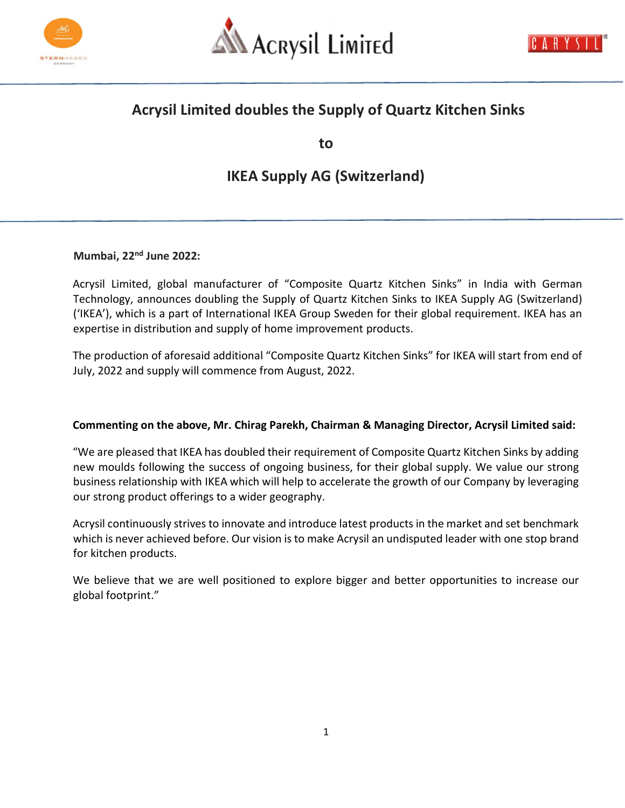





## Acrysil Limited doubles the Supply of Quartz Kitchen Sinks

to

# IKEA Supply AG (Switzerland)

Mumbai, 22<sup>nd</sup> June 2022:

Acrysil Limited, global manufacturer of "Composite Quartz Kitchen Sinks" in India with German Technology, announces doubling the Supply of Quartz Kitchen Sinks to IKEA Supply AG (Switzerland) ('IKEA'), which is a part of International IKEA Group Sweden for their global requirement. IKEA has an expertise in distribution and supply of home improvement products.

The production of aforesaid additional "Composite Quartz Kitchen Sinks" for IKEA will start from end of July, 2022 and supply will commence from August, 2022.

### Commenting on the above, Mr. Chirag Parekh, Chairman & Managing Director, Acrysil Limited said:

"We are pleased that IKEA has doubled their requirement of Composite Quartz Kitchen Sinks by adding new moulds following the success of ongoing business, for their global supply. We value our strong business relationship with IKEA which will help to accelerate the growth of our Company by leveraging our strong product offerings to a wider geography.

Acrysil continuously strives to innovate and introduce latest products in the market and set benchmark which is never achieved before. Our vision is to make Acrysil an undisputed leader with one stop brand for kitchen products.

We believe that we are well positioned to explore bigger and better opportunities to increase our global footprint."